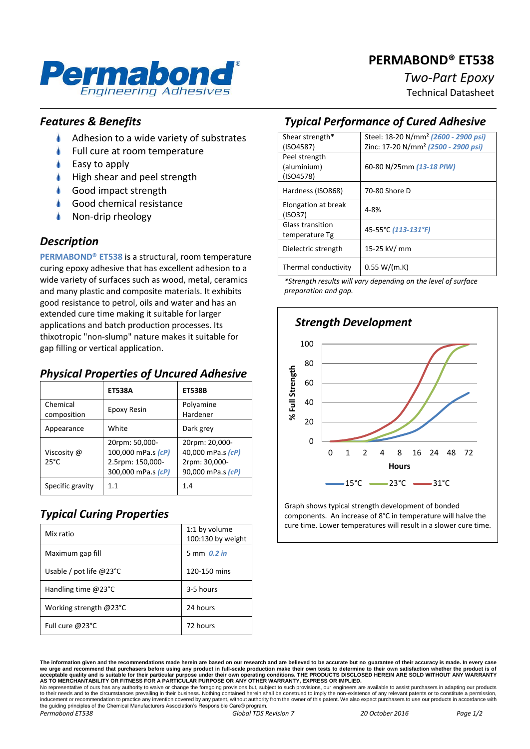# **PERMABOND® ET538**



# *Two-Part Epoxy*

Technical Datasheet

#### *Features & Benefits*

- ۸ Adhesion to a wide variety of substrates
- Full cure at room temperature
- Easy to apply
- High shear and peel strength
- Good impact strength
- Good chemical resistance
- Non-drip rheology

#### *Description*

**PERMABOND® ET538** is a structural, room temperature curing epoxy adhesive that has excellent adhesion to a wide variety of surfaces such as wood, metal, ceramics and many plastic and composite materials. It exhibits good resistance to petrol, oils and water and has an extended cure time making it suitable for larger applications and batch production processes. Its thixotropic "non-slump" nature makes it suitable for gap filling or vertical application.

#### *Physical Properties of Uncured Adhesive*

|                               | <b>ET538A</b>                                                                  | <b>ET538B</b>                                                             |
|-------------------------------|--------------------------------------------------------------------------------|---------------------------------------------------------------------------|
| Chemical<br>composition       | Epoxy Resin                                                                    | Polyamine<br>Hardener                                                     |
| Appearance                    | White                                                                          | Dark grey                                                                 |
| Viscosity @<br>$25^{\circ}$ C | 20rpm: 50,000-<br>100,000 mPa.s (cP)<br>2.5rpm: 150,000-<br>300,000 mPa.s (cP) | 20rpm: 20,000-<br>40,000 mPa.s (cP)<br>2rpm: 30,000-<br>90,000 mPa.s (cP) |
| Specific gravity              | 1.1                                                                            | 1.4                                                                       |

# *Typical Curing Properties*

| Mix ratio                          | 1:1 by volume<br>100:130 by weight |
|------------------------------------|------------------------------------|
| Maximum gap fill                   | 5 mm 0.2 in                        |
| Usable / pot life @23 $^{\circ}$ C | 120-150 mins                       |
| Handling time $@23°C$              | 3-5 hours                          |
| Working strength $@23^{\circ}C$    | 24 hours                           |
| Full cure @23°C                    | 72 hours                           |

## *Typical Performance of Cured Adhesive*

| Shear strength*         | Steel: 18-20 N/mm <sup>2</sup> (2600 - 2900 psi) |
|-------------------------|--------------------------------------------------|
| (ISO4587)               | Zinc: 17-20 N/mm <sup>2</sup> (2500 - 2900 psi)  |
| Peel strength           |                                                  |
| (aluminium)             | 60-80 N/25mm (13-18 PIW)                         |
| (ISO4578)               |                                                  |
| Hardness (ISO868)       | 70-80 Shore D                                    |
|                         |                                                  |
| Elongation at break     | 4-8%                                             |
| (ISO37)                 |                                                  |
| <b>Glass transition</b> | 45-55°C (113-131°F)                              |
| temperature Tg          |                                                  |
| Dielectric strength     | 15-25 kV/ mm                                     |
|                         |                                                  |
| Thermal conductivity    | 0.55 W/(m.K)                                     |
|                         |                                                  |

*\*Strength results will vary depending on the level of surface preparation and gap.*



Graph shows typical strength development of bonded components. An increase of 8°C in temperature will halve the cure time. Lower temperatures will result in a slower cure time.

to their needs and to the circumstances prevailing in their business. Nothing contained herein shall be construed to imply the non-existence of any relevant patents or to constitute a permission inducement or recommendation to practice any invention covered by any patent, without authority from the owner of this patent. We also expect purchasers to use our products in accordance with the guiding principles of the Chemical Manufacturers Association's Responsible Care® program. *Permabond ET538 Global TDS Revision 7 20 October 2016 Page 1/2*

**The information given and the recommendations made herein are based on our research and are believed to be accurate but no guarantee of their accuracy is made. In every case**  we urge and recommend that purchasers before using any product in full-scale production make their own tests to determine to their own satisfaction whether the product is of<br>acceptable quality and is suitable for their par